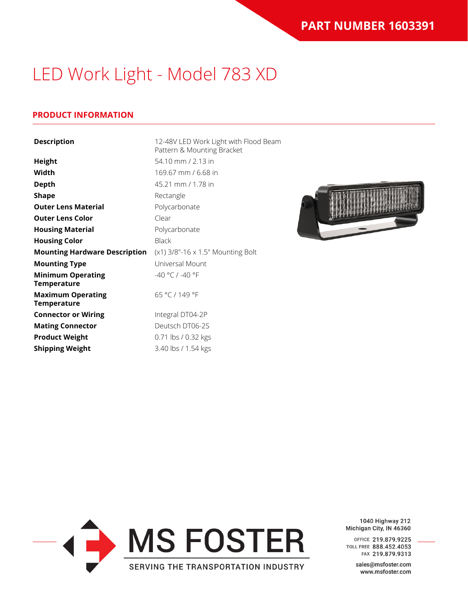### **PRODUCT INFORMATION**

| <b>Description</b>                      | 12-48V LED Work Light with Flood Beam<br>Pattern & Mounting Bracket<br>54.10 mm / 2.13 in |  |  |  |
|-----------------------------------------|-------------------------------------------------------------------------------------------|--|--|--|
| <b>Height</b>                           |                                                                                           |  |  |  |
| Width                                   | 169.67 mm / 6.68 in                                                                       |  |  |  |
| <b>Depth</b>                            | 45.21 mm / 1.78 in                                                                        |  |  |  |
| <b>Shape</b>                            | Rectangle                                                                                 |  |  |  |
| <b>Outer Lens Material</b>              | Polycarbonate                                                                             |  |  |  |
| <b>Outer Lens Color</b>                 | Clear                                                                                     |  |  |  |
| <b>Housing Material</b>                 | Polycarbonate                                                                             |  |  |  |
| <b>Housing Color</b>                    | <b>Black</b>                                                                              |  |  |  |
| <b>Mounting Hardware Description</b>    | (x1) 3/8"-16 x 1.5" Mounting Bolt                                                         |  |  |  |
| <b>Mounting Type</b>                    | Universal Mount                                                                           |  |  |  |
| <b>Minimum Operating</b><br>Temperature | -40 °C / -40 °F                                                                           |  |  |  |
| <b>Maximum Operating</b><br>Temperature | 65 °C / 149 °F                                                                            |  |  |  |
| <b>Connector or Wiring</b>              | Integral DT04-2P                                                                          |  |  |  |
| <b>Mating Connector</b>                 | Deutsch DT06-2S                                                                           |  |  |  |
| <b>Product Weight</b>                   | 0.71 lbs / 0.32 kgs                                                                       |  |  |  |
| <b>Shipping Weight</b>                  | 3.40 lbs / 1.54 kgs                                                                       |  |  |  |





1040 Highway 212 Michigan City, IN 46360

OFFICE 219.879.9225 TOLL FREE 888.452.4053 FAX 219.879.9313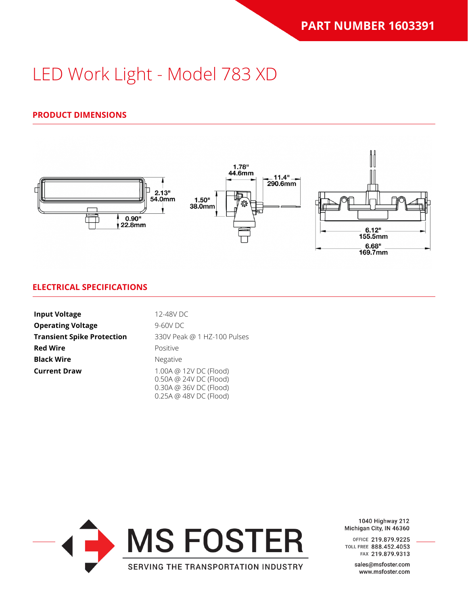### **PRODUCT DIMENSIONS**



#### **ELECTRICAL SPECIFICATIONS**

| <b>Input Voltage</b>              | 12-48V DC                                                                                            |  |  |
|-----------------------------------|------------------------------------------------------------------------------------------------------|--|--|
| <b>Operating Voltage</b>          | $9-60V$ DC                                                                                           |  |  |
| <b>Transient Spike Protection</b> | 330V Peak @ 1 HZ-100 Pulses                                                                          |  |  |
| <b>Red Wire</b>                   | Positive                                                                                             |  |  |
| <b>Black Wire</b>                 | <b>Negative</b>                                                                                      |  |  |
| <b>Current Draw</b>               | 1.00A @ 12V DC (Flood)<br>0.50A @ 24V DC (Flood)<br>0.30A @ 36V DC (Flood)<br>0.25A @ 48V DC (Flood) |  |  |



1040 Highway 212 Michigan City, IN 46360

OFFICE 219.879.9225 TOLL FREE 888.452.4053 FAX 219.879.9313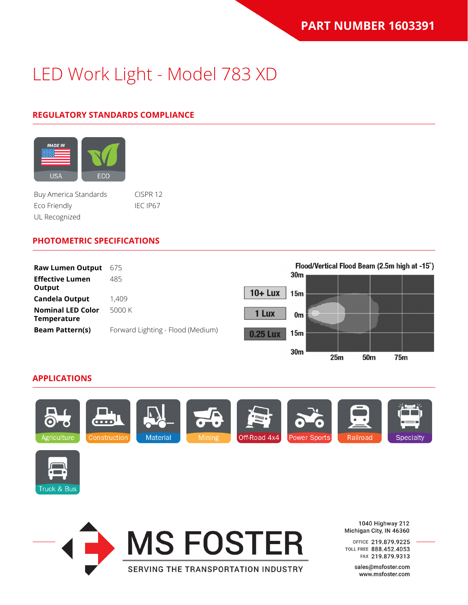### **REGULATORY STANDARDS COMPLIANCE**



Buy America Standards CISPR 12 Eco Friendly IEC IP67 UL Recognized

#### **PHOTOMETRIC SPECIFICATIONS**

| <b>Raw Lumen Output</b>                 | 675                               |                 | Flood/Vertical Flood Beam (2.5m high at -15°) |  |  |  |
|-----------------------------------------|-----------------------------------|-----------------|-----------------------------------------------|--|--|--|
| <b>Effective Lumen</b><br>Output        | 485                               |                 | 30 <sub>m</sub>                               |  |  |  |
| <b>Candela Output</b>                   | 1,409                             | $10 +$ Lux      | 15m                                           |  |  |  |
| <b>Nominal LED Color</b><br>Temperature | 5000 K                            | 1 Lux           | 0m                                            |  |  |  |
| <b>Beam Pattern(s)</b>                  | Forward Lighting - Flood (Medium) | <b>0.25 Lux</b> | 15m                                           |  |  |  |
|                                         |                                   |                 | 30 <sub>m</sub>                               |  |  |  |

#### **APPLICATIONS**







1040 Highway 212 Michigan City, IN 46360

 $25m$ 

 $50<sub>m</sub>$ 

**75m** 

OFFICE 219.879.9225 TOLL FREE 888.452.4053 FAX 219.879.9313